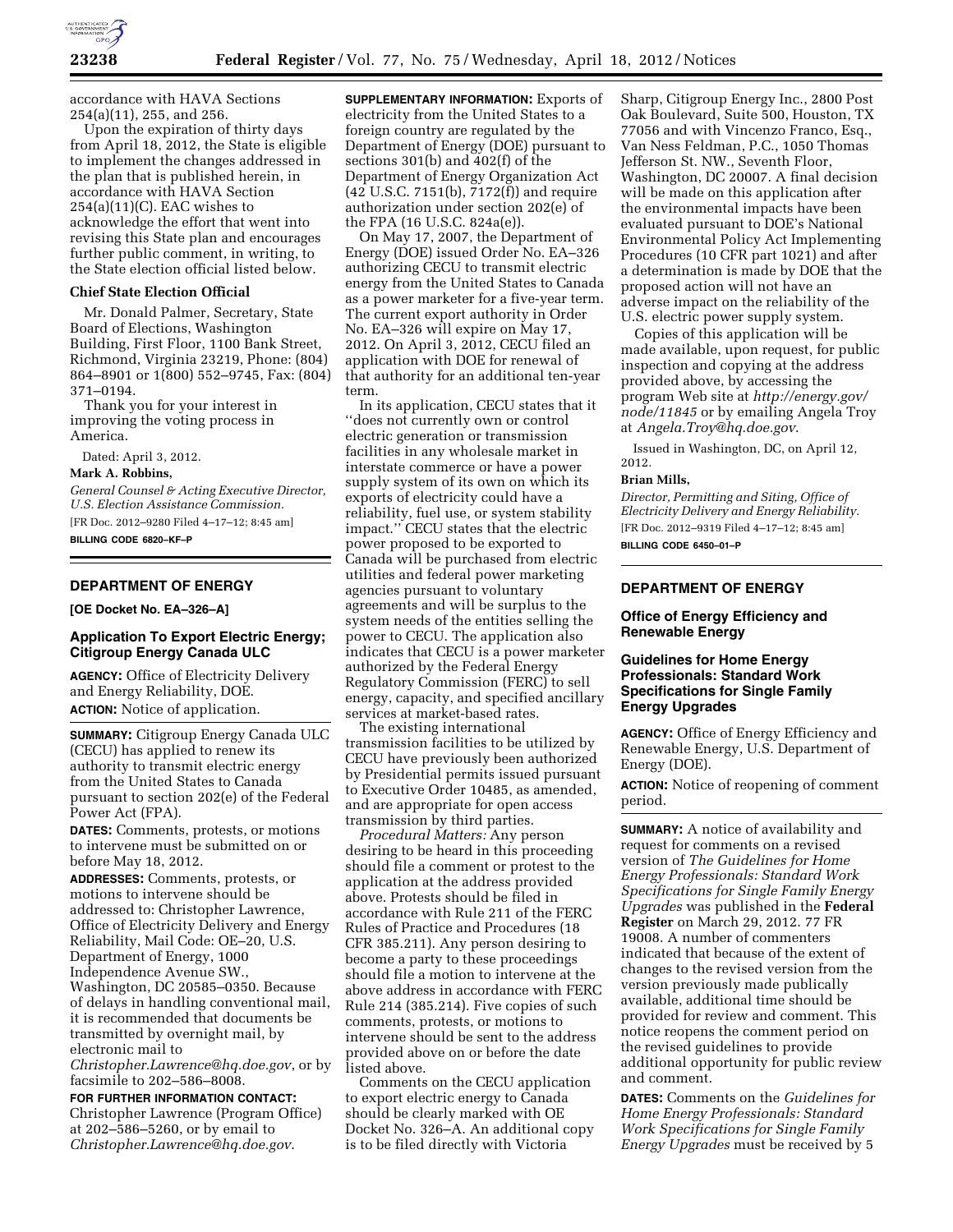

accordance with HAVA Sections 254(a)(11), 255, and 256.

Upon the expiration of thirty days from April 18, 2012, the State is eligible to implement the changes addressed in the plan that is published herein, in accordance with HAVA Section 254(a)(11)(C). EAC wishes to acknowledge the effort that went into revising this State plan and encourages further public comment, in writing, to the State election official listed below.

### **Chief State Election Official**

Mr. Donald Palmer, Secretary, State Board of Elections, Washington Building, First Floor, 1100 Bank Street, Richmond, Virginia 23219, Phone: (804) 864–8901 or 1(800) 552–9745, Fax: (804) 371–0194.

Thank you for your interest in improving the voting process in America.

Dated: April 3, 2012.

#### **Mark A. Robbins,**

*General Counsel & Acting Executive Director, U.S. Election Assistance Commission.*  [FR Doc. 2012–9280 Filed 4–17–12; 8:45 am] **BILLING CODE 6820–KF–P** 

# **DEPARTMENT OF ENERGY**

**[OE Docket No. EA–326–A]** 

## **Application To Export Electric Energy; Citigroup Energy Canada ULC**

**AGENCY:** Office of Electricity Delivery and Energy Reliability, DOE. **ACTION:** Notice of application.

**SUMMARY:** Citigroup Energy Canada ULC (CECU) has applied to renew its authority to transmit electric energy from the United States to Canada pursuant to section 202(e) of the Federal Power Act (FPA).

**DATES:** Comments, protests, or motions to intervene must be submitted on or before May 18, 2012.

**ADDRESSES:** Comments, protests, or motions to intervene should be addressed to: Christopher Lawrence, Office of Electricity Delivery and Energy Reliability, Mail Code: OE–20, U.S. Department of Energy, 1000 Independence Avenue SW., Washington, DC 20585–0350. Because of delays in handling conventional mail, it is recommended that documents be transmitted by overnight mail, by

electronic mail to

*[Christopher.Lawrence@hq.doe.gov](mailto:Christopher.Lawrence@hq.doe.gov)*, or by facsimile to 202–586–8008.

# **FOR FURTHER INFORMATION CONTACT:**

Christopher Lawrence (Program Office) at 202–586–5260, or by email to *[Christopher.Lawrence@hq.doe.gov](mailto:Christopher.Lawrence@hq.doe.gov)*.

**SUPPLEMENTARY INFORMATION:** Exports of electricity from the United States to a foreign country are regulated by the Department of Energy (DOE) pursuant to sections 301(b) and 402(f) of the Department of Energy Organization Act (42 U.S.C. 7151(b), 7172(f)) and require authorization under section 202(e) of the FPA (16 U.S.C. 824a(e)).

On May 17, 2007, the Department of Energy (DOE) issued Order No. EA–326 authorizing CECU to transmit electric energy from the United States to Canada as a power marketer for a five-year term. The current export authority in Order No. EA–326 will expire on May 17, 2012. On April 3, 2012, CECU filed an application with DOE for renewal of that authority for an additional ten-year term.

In its application, CECU states that it ''does not currently own or control electric generation or transmission facilities in any wholesale market in interstate commerce or have a power supply system of its own on which its exports of electricity could have a reliability, fuel use, or system stability impact.'' CECU states that the electric power proposed to be exported to Canada will be purchased from electric utilities and federal power marketing agencies pursuant to voluntary agreements and will be surplus to the system needs of the entities selling the power to CECU. The application also indicates that CECU is a power marketer authorized by the Federal Energy Regulatory Commission (FERC) to sell energy, capacity, and specified ancillary services at market-based rates.

The existing international transmission facilities to be utilized by CECU have previously been authorized by Presidential permits issued pursuant to Executive Order 10485, as amended, and are appropriate for open access transmission by third parties.

*Procedural Matters:* Any person desiring to be heard in this proceeding should file a comment or protest to the application at the address provided above. Protests should be filed in accordance with Rule 211 of the FERC Rules of Practice and Procedures (18 CFR 385.211). Any person desiring to become a party to these proceedings should file a motion to intervene at the above address in accordance with FERC Rule 214 (385.214). Five copies of such comments, protests, or motions to intervene should be sent to the address provided above on or before the date listed above.

Comments on the CECU application to export electric energy to Canada should be clearly marked with OE Docket No. 326–A. An additional copy is to be filed directly with Victoria

Sharp, Citigroup Energy Inc., 2800 Post Oak Boulevard, Suite 500, Houston, TX 77056 and with Vincenzo Franco, Esq., Van Ness Feldman, P.C., 1050 Thomas Jefferson St. NW., Seventh Floor, Washington, DC 20007. A final decision will be made on this application after the environmental impacts have been evaluated pursuant to DOE's National Environmental Policy Act Implementing Procedures (10 CFR part 1021) and after a determination is made by DOE that the proposed action will not have an adverse impact on the reliability of the U.S. electric power supply system.

Copies of this application will be made available, upon request, for public inspection and copying at the address provided above, by accessing the program Web site at *[http://energy.gov/](http://energy.gov/node/11845)  [node/11845](http://energy.gov/node/11845)* or by emailing Angela Troy at *[Angela.Troy@hq.doe.gov](mailto:Angela.Troy@hq.doe.gov)*.

Issued in Washington, DC, on April 12, 2012.

#### **Brian Mills,**

*Director, Permitting and Siting, Office of Electricity Delivery and Energy Reliability.*  [FR Doc. 2012–9319 Filed 4–17–12; 8:45 am] **BILLING CODE 6450–01–P** 

# **DEPARTMENT OF ENERGY**

## **Office of Energy Efficiency and Renewable Energy**

# **Guidelines for Home Energy Professionals: Standard Work Specifications for Single Family Energy Upgrades**

**AGENCY:** Office of Energy Efficiency and Renewable Energy, U.S. Department of Energy (DOE).

**ACTION:** Notice of reopening of comment period.

**SUMMARY:** A notice of availability and request for comments on a revised version of *The Guidelines for Home Energy Professionals: Standard Work Specifications for Single Family Energy Upgrades* was published in the **Federal Register** on March 29, 2012. 77 FR 19008. A number of commenters indicated that because of the extent of changes to the revised version from the version previously made publically available, additional time should be provided for review and comment. This notice reopens the comment period on the revised guidelines to provide additional opportunity for public review and comment.

**DATES:** Comments on the *Guidelines for Home Energy Professionals: Standard Work Specifications for Single Family Energy Upgrades* must be received by 5